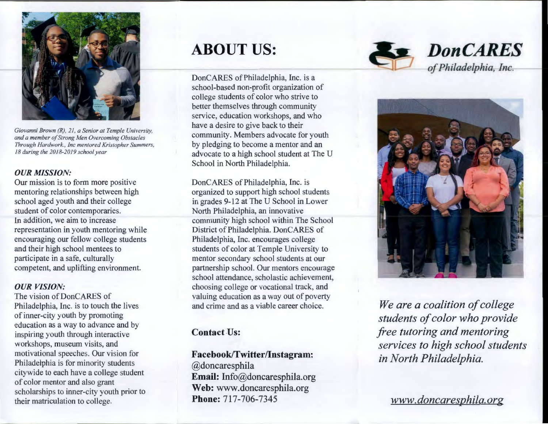

*Giovanni Brown (R), 21, a Senior al Temple University, and a member of Strong Men Overcoming Obstacles Through Hardwork., inc mentored Kristopher Summers, 18 during the 2018-2019 school year* 

#### *OUR MISSION:*

Our mission is to form more positive mentoring relationships between high school aged youth and their college student of color contemporaries. ln addition, we aim to increase representation in youth mentoring while encouraging our fellow college students and their high school mentees to participate in a safe, culturally competent, and uplifting environment.

#### *OUR VISION:*

The vision of DonCARES of Philadelphia, Inc. is to touch the lives of inner-city youth by promoting education as a way to advance and by inspiring youth through interactive workshops, museum visits, and motivational speeches. Our vision for Philadelphia is for minority students citywide to each have a college student of color mentor and also grant scholarships to inner-city youth prior to their matriculation to college.

# **ABOUT US:**

Don CARES of Philadelphia, Inc. is a school-based non-profit organization of college students of color who strive to better themselves through community service, education workshops, and who have a desire to give back to their community. Members advocate for youth by pledging to become a mentor and an advocate to a high school student at The U School in North Philadelphia.

Don CARES of Philadelphia, Inc. is organized to support high school students in grades 9-12 at The U School in Lower North Philadelphia, an innovative community high school within The School District of Philadelphia. DonCARES of Philadelphia, Inc. encourages college students of color at Temple University to mentor secondary school students at our partnership school. Our mentors encourage school attendance, scholastic achievement, choosing college or vocational track, and valuing education as a way out of poverty and crime and as a viable career choice.

### **Contact Us:**

#### **Facebook/Twitter/lnstagram:**

@doncaresphila **Email:** Info@doncaresphila.org **Web:** www.doncaresphila.org **Phone:** 717-706-7345



### *DonCARES of Philadelphia,-l nc.*



*We are a coalition of college students of color who provide free tutoring and mentoring services to high school students in North Philadelphia.* 

*www. donca~esphila. org*